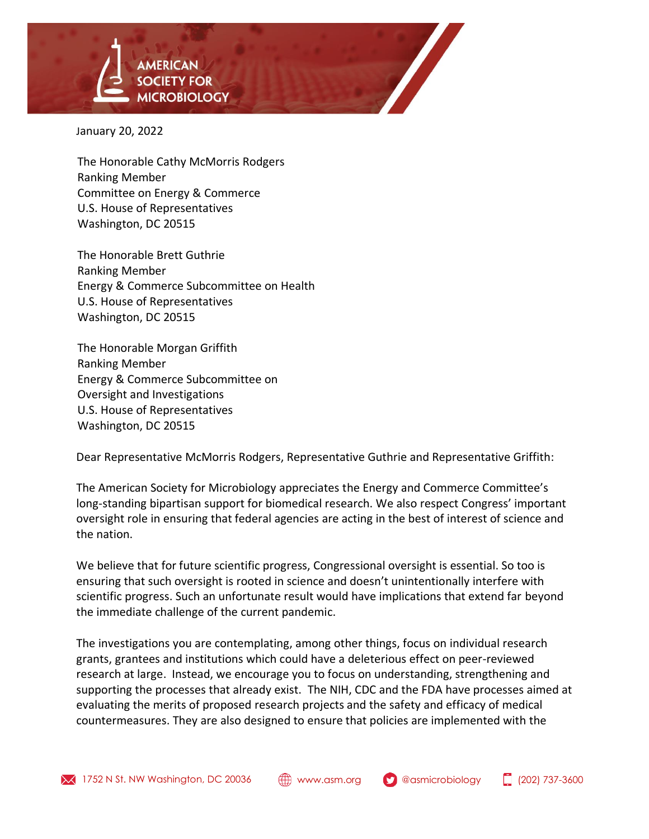

January 20, 2022

The Honorable Cathy McMorris Rodgers Ranking Member Committee on Energy & Commerce U.S. House of Representatives Washington, DC 20515

The Honorable Brett Guthrie Ranking Member Energy & Commerce Subcommittee on Health U.S. House of Representatives Washington, DC 20515

The Honorable Morgan Griffith Ranking Member Energy & Commerce Subcommittee on Oversight and Investigations U.S. House of Representatives Washington, DC 20515

Dear Representative McMorris Rodgers, Representative Guthrie and Representative Griffith:

The American Society for Microbiology appreciates the Energy and Commerce Committee's long-standing bipartisan support for biomedical research. We also respect Congress' important oversight role in ensuring that federal agencies are acting in the best of interest of science and the nation.

We believe that for future scientific progress, Congressional oversight is essential. So too is ensuring that such oversight is rooted in science and doesn't unintentionally interfere with scientific progress. Such an unfortunate result would have implications that extend far beyond the immediate challenge of the current pandemic.

The investigations you are contemplating, among other things, focus on individual research grants, grantees and institutions which could have a deleterious effect on peer-reviewed research at large. Instead, we encourage you to focus on understanding, strengthening and supporting the processes that already exist. The NIH, CDC and the FDA have processes aimed at evaluating the merits of proposed research projects and the safety and efficacy of medical countermeasures. They are also designed to ensure that policies are implemented with the